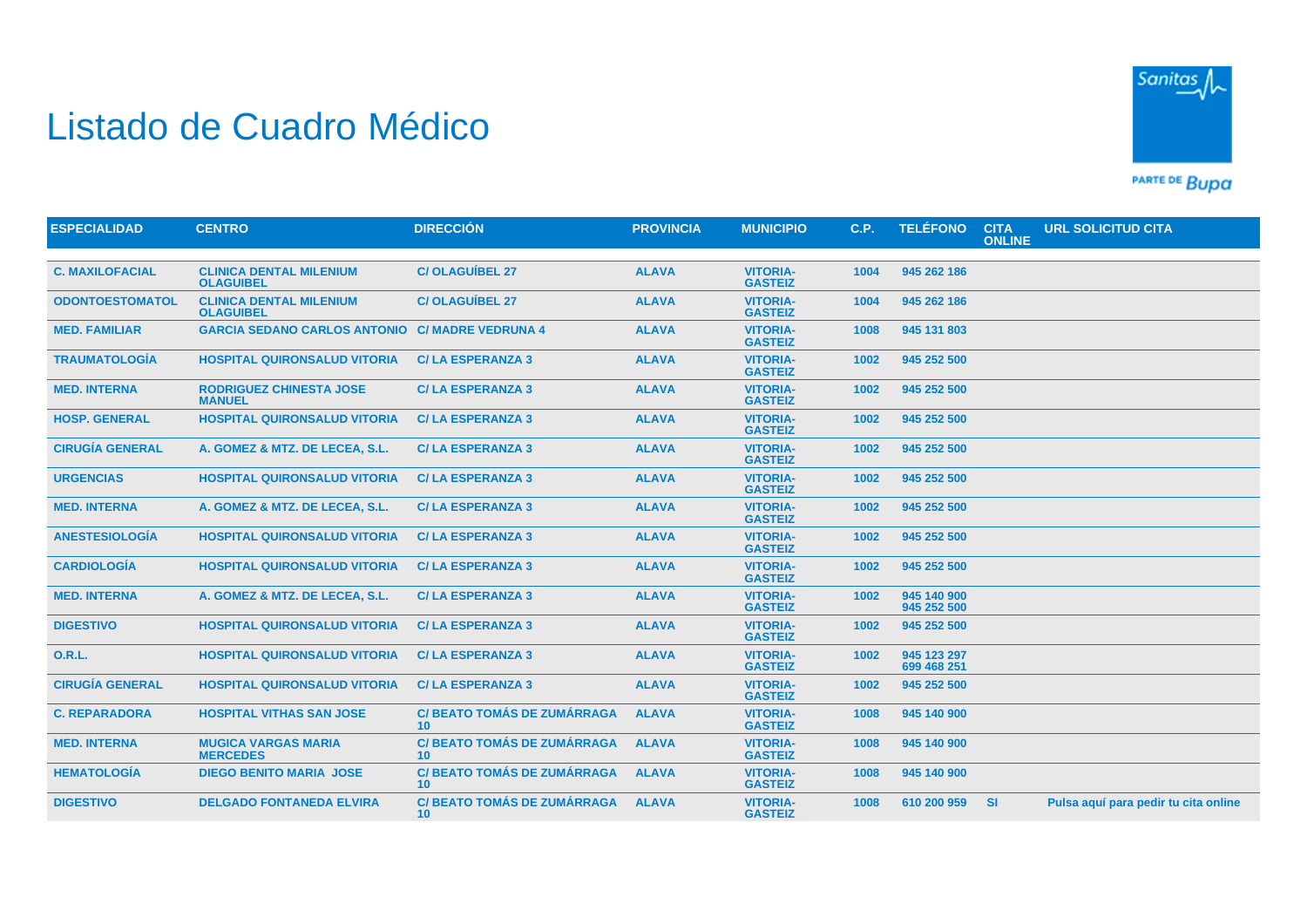## Listado de Cuadro Médico



PARTE DE BUDA

| <b>ESPECIALIDAD</b>    | <b>CENTRO</b>                                      | <b>DIRECCIÓN</b>                                      | <b>PROVINCIA</b> | <b>MUNICIPIO</b>                  | C.P. | <b>TELÉFONO</b>            | <b>CITA</b><br><b>ONLINE</b> | <b>URL SOLICITUD CITA</b>            |
|------------------------|----------------------------------------------------|-------------------------------------------------------|------------------|-----------------------------------|------|----------------------------|------------------------------|--------------------------------------|
|                        |                                                    |                                                       |                  |                                   |      |                            |                              |                                      |
| <b>C. MAXILOFACIAL</b> | <b>CLINICA DENTAL MILENIUM</b><br><b>OLAGUIBEL</b> | <b>C/OLAGUÍBEL 27</b>                                 | <b>ALAVA</b>     | <b>VITORIA-</b><br><b>GASTEIZ</b> | 1004 | 945 262 186                |                              |                                      |
| <b>ODONTOESTOMATOL</b> | <b>CLINICA DENTAL MILENIUM</b><br><b>OLAGUIBEL</b> | <b>C/OLAGUÍBEL 27</b>                                 | <b>ALAVA</b>     | <b>VITORIA-</b><br><b>GASTEIZ</b> | 1004 | 945 262 186                |                              |                                      |
| <b>MED. FAMILIAR</b>   | <b>GARCIA SEDANO CARLOS ANTONIO</b>                | <b>C/ MADRE VEDRUNA 4</b>                             | <b>ALAVA</b>     | <b>VITORIA-</b><br><b>GASTEIZ</b> | 1008 | 945 131 803                |                              |                                      |
| <b>TRAUMATOLOGÍA</b>   | <b>HOSPITAL QUIRONSALUD VITORIA</b>                | <b>C/LA ESPERANZA 3</b>                               | <b>ALAVA</b>     | <b>VITORIA-</b><br><b>GASTEIZ</b> | 1002 | 945 252 500                |                              |                                      |
| <b>MED. INTERNA</b>    | <b>RODRIGUEZ CHINESTA JOSE</b><br><b>MANUEL</b>    | <b>C/LA ESPERANZA 3</b>                               | <b>ALAVA</b>     | <b>VITORIA-</b><br><b>GASTEIZ</b> | 1002 | 945 252 500                |                              |                                      |
| <b>HOSP. GENERAL</b>   | <b>HOSPITAL QUIRONSALUD VITORIA</b>                | <b>C/LA ESPERANZA 3</b>                               | <b>ALAVA</b>     | <b>VITORIA-</b><br><b>GASTEIZ</b> | 1002 | 945 252 500                |                              |                                      |
| <b>CIRUGÍA GENERAL</b> | A. GOMEZ & MTZ. DE LECEA, S.L.                     | <b>C/LA ESPERANZA 3</b>                               | <b>ALAVA</b>     | <b>VITORIA-</b><br><b>GASTEIZ</b> | 1002 | 945 252 500                |                              |                                      |
| <b>URGENCIAS</b>       | <b>HOSPITAL QUIRONSALUD VITORIA</b>                | <b>C/LA ESPERANZA 3</b>                               | <b>ALAVA</b>     | <b>VITORIA-</b><br><b>GASTEIZ</b> | 1002 | 945 252 500                |                              |                                      |
| <b>MED. INTERNA</b>    | A. GOMEZ & MTZ. DE LECEA, S.L.                     | <b>C/LA ESPERANZA 3</b>                               | <b>ALAVA</b>     | <b>VITORIA-</b><br><b>GASTEIZ</b> | 1002 | 945 252 500                |                              |                                      |
| <b>ANESTESIOLOGÍA</b>  | <b>HOSPITAL QUIRONSALUD VITORIA</b>                | <b>C/LA ESPERANZA 3</b>                               | <b>ALAVA</b>     | <b>VITORIA-</b><br><b>GASTEIZ</b> | 1002 | 945 252 500                |                              |                                      |
| <b>CARDIOLOGÍA</b>     | <b>HOSPITAL QUIRONSALUD VITORIA</b>                | <b>C/LA ESPERANZA 3</b>                               | <b>ALAVA</b>     | <b>VITORIA-</b><br><b>GASTEIZ</b> | 1002 | 945 252 500                |                              |                                      |
| <b>MED. INTERNA</b>    | A. GOMEZ & MTZ. DE LECEA, S.L.                     | <b>C/LA ESPERANZA 3</b>                               | <b>ALAVA</b>     | <b>VITORIA-</b><br><b>GASTEIZ</b> | 1002 | 945 140 900<br>945 252 500 |                              |                                      |
| <b>DIGESTIVO</b>       | <b>HOSPITAL QUIRONSALUD VITORIA</b>                | <b>C/LA ESPERANZA 3</b>                               | <b>ALAVA</b>     | <b>VITORIA-</b><br><b>GASTEIZ</b> | 1002 | 945 252 500                |                              |                                      |
| <b>O.R.L.</b>          | <b>HOSPITAL QUIRONSALUD VITORIA</b>                | <b>C/LA ESPERANZA 3</b>                               | <b>ALAVA</b>     | <b>VITORIA-</b><br><b>GASTEIZ</b> | 1002 | 945 123 297<br>699 468 251 |                              |                                      |
| <b>CIRUGÍA GENERAL</b> | <b>HOSPITAL QUIRONSALUD VITORIA</b>                | <b>C/LA ESPERANZA 3</b>                               | <b>ALAVA</b>     | <b>VITORIA-</b><br><b>GASTEIZ</b> | 1002 | 945 252 500                |                              |                                      |
| <b>C. REPARADORA</b>   | <b>HOSPITAL VITHAS SAN JOSE</b>                    | <b>C/ BEATO TOMÁS DE ZUMÁRRAGA</b><br>10 <sup>1</sup> | <b>ALAVA</b>     | <b>VITORIA-</b><br><b>GASTEIZ</b> | 1008 | 945 140 900                |                              |                                      |
| <b>MED. INTERNA</b>    | <b>MUGICA VARGAS MARIA</b><br><b>MERCEDES</b>      | <b>C/ BEATO TOMÁS DE ZUMÁRRAGA</b><br>10 <sup>1</sup> | <b>ALAVA</b>     | <b>VITORIA-</b><br><b>GASTEIZ</b> | 1008 | 945 140 900                |                              |                                      |
| <b>HEMATOLOGÍA</b>     | <b>DIEGO BENITO MARIA JOSE</b>                     | <b>C/ BEATO TOMÁS DE ZUMÁRRAGA</b><br>10 <sup>°</sup> | <b>ALAVA</b>     | <b>VITORIA-</b><br><b>GASTEIZ</b> | 1008 | 945 140 900                |                              |                                      |
| <b>DIGESTIVO</b>       | <b>DELGADO FONTANEDA ELVIRA</b>                    | <b>C/ BEATO TOMÁS DE ZUMÁRRAGA</b><br>10 <sup>1</sup> | <b>ALAVA</b>     | <b>VITORIA-</b><br><b>GASTEIZ</b> | 1008 | 610 200 959                | <b>SI</b>                    | Pulsa aquí para pedir tu cita online |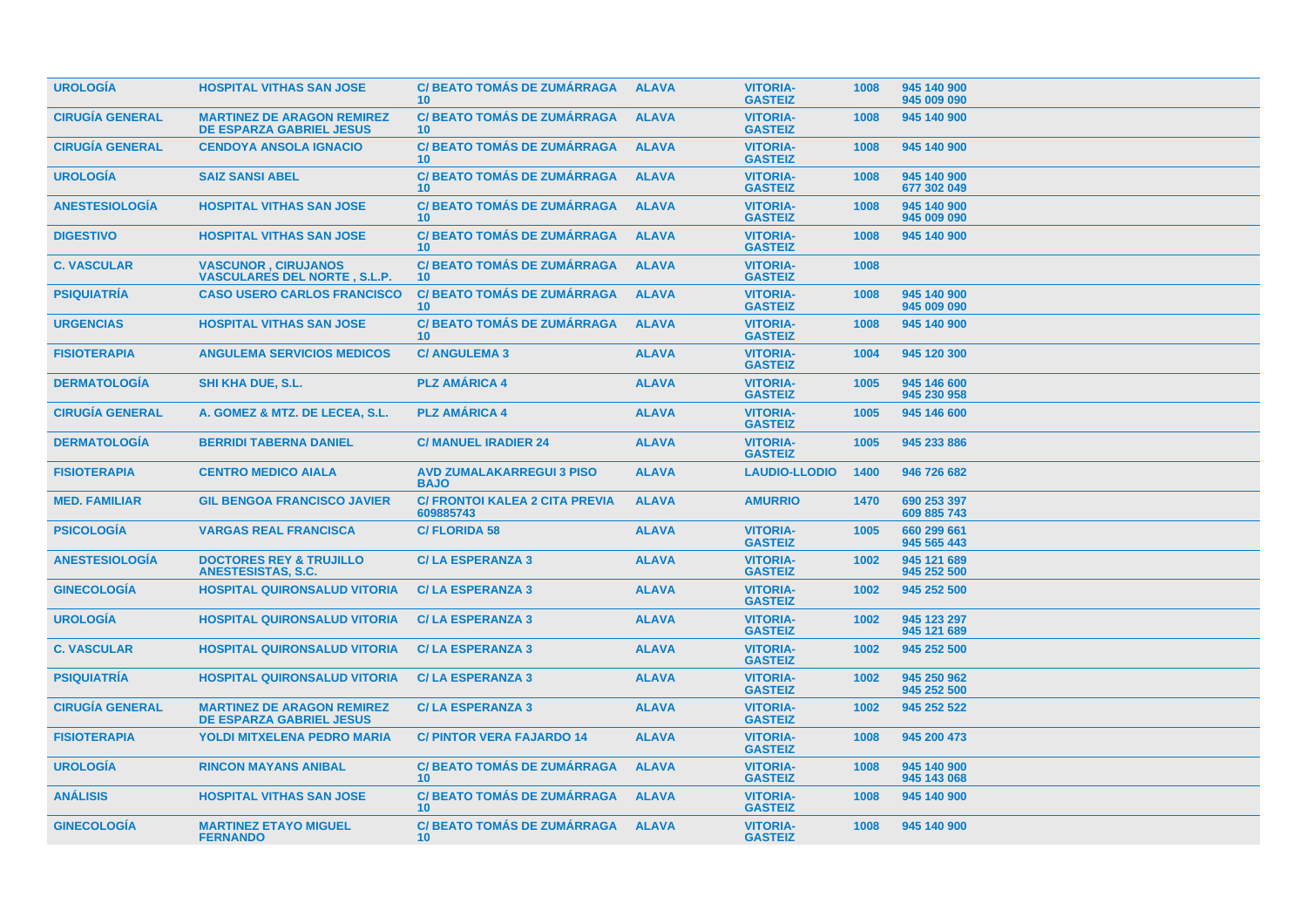| <b>UROLOGÍA</b>        | <b>HOSPITAL VITHAS SAN JOSE</b>                                      | <b>C/BEATO TOMÁS DE ZUMÁRRAGA</b><br>10 <sup>°</sup>  | <b>ALAVA</b> | <b>VITORIA-</b><br><b>GASTEIZ</b> | 1008 | 945 140 900<br>945 009 090 |
|------------------------|----------------------------------------------------------------------|-------------------------------------------------------|--------------|-----------------------------------|------|----------------------------|
| <b>CIRUGÍA GENERAL</b> | <b>MARTINEZ DE ARAGON REMIREZ</b><br><b>DE ESPARZA GABRIEL JESUS</b> | <b>C/BEATO TOMÁS DE ZUMÁRRAGA</b><br>10 <sup>°</sup>  | <b>ALAVA</b> | <b>VITORIA-</b><br><b>GASTEIZ</b> | 1008 | 945 140 900                |
| <b>CIRUGÍA GENERAL</b> | <b>CENDOYA ANSOLA IGNACIO</b>                                        | <b>C/BEATO TOMÁS DE ZUMÁRRAGA</b><br>10 <sup>°</sup>  | <b>ALAVA</b> | <b>VITORIA-</b><br><b>GASTEIZ</b> | 1008 | 945 140 900                |
| <b>UROLOGIA</b>        | <b>SAIZ SANSI ABEL</b>                                               | <b>C/ BEATO TOMÁS DE ZUMÁRRAGA</b><br>10 <sup>°</sup> | <b>ALAVA</b> | <b>VITORIA-</b><br><b>GASTEIZ</b> | 1008 | 945 140 900<br>677 302 049 |
| <b>ANESTESIOLOGÍA</b>  | <b>HOSPITAL VITHAS SAN JOSE</b>                                      | <b>C/BEATO TOMÁS DE ZUMÁRRAGA</b><br>10 <sup>1</sup>  | <b>ALAVA</b> | <b>VITORIA-</b><br><b>GASTEIZ</b> | 1008 | 945 140 900<br>945 009 090 |
| <b>DIGESTIVO</b>       | <b>HOSPITAL VITHAS SAN JOSE</b>                                      | <b>C/BEATO TOMÁS DE ZUMÁRRAGA</b><br>10 <sup>°</sup>  | <b>ALAVA</b> | <b>VITORIA-</b><br><b>GASTEIZ</b> | 1008 | 945 140 900                |
| <b>C. VASCULAR</b>     | <b>VASCUNOR, CIRUJANOS</b><br><b>VASCULARES DEL NORTE, S.L.P.</b>    | <b>C/ BEATO TOMÁS DE ZUMÁRRAGA</b><br>10 <sup>°</sup> | <b>ALAVA</b> | <b>VITORIA-</b><br><b>GASTEIZ</b> | 1008 |                            |
| <b>PSIQUIATRIA</b>     | <b>CASO USERO CARLOS FRANCISCO</b>                                   | <b>C/ BEATO TOMÁS DE ZUMÁRRAGA</b><br>10 <sup>°</sup> | <b>ALAVA</b> | <b>VITORIA-</b><br><b>GASTEIZ</b> | 1008 | 945 140 900<br>945 009 090 |
| <b>URGENCIAS</b>       | <b>HOSPITAL VITHAS SAN JOSE</b>                                      | <b>C/BEATO TOMÁS DE ZUMÁRRAGA</b><br>10 <sup>°</sup>  | <b>ALAVA</b> | <b>VITORIA-</b><br><b>GASTEIZ</b> | 1008 | 945 140 900                |
| <b>FISIOTERAPIA</b>    | <b>ANGULEMA SERVICIOS MEDICOS</b>                                    | <b>C/ ANGULEMA 3</b>                                  | <b>ALAVA</b> | <b>VITORIA-</b><br><b>GASTEIZ</b> | 1004 | 945 120 300                |
| <b>DERMATOLOGIA</b>    | <b>SHI KHA DUE, S.L.</b>                                             | <b>PLZ AMÁRICA 4</b>                                  | <b>ALAVA</b> | <b>VITORIA-</b><br><b>GASTEIZ</b> | 1005 | 945 146 600<br>945 230 958 |
| <b>CIRUGÍA GENERAL</b> | A. GOMEZ & MTZ. DE LECEA, S.L.                                       | <b>PLZ AMÁRICA 4</b>                                  | <b>ALAVA</b> | <b>VITORIA-</b><br><b>GASTEIZ</b> | 1005 | 945 146 600                |
| <b>DERMATOLOGÍA</b>    | <b>BERRIDI TABERNA DANIEL</b>                                        | <b>C/ MANUEL IRADIER 24</b>                           | <b>ALAVA</b> | <b>VITORIA-</b><br><b>GASTEIZ</b> | 1005 | 945 233 886                |
| <b>FISIOTERAPIA</b>    | <b>CENTRO MEDICO AIALA</b>                                           | <b>AVD ZUMALAKARREGUI 3 PISO</b><br><b>BAJO</b>       | <b>ALAVA</b> | <b>LAUDIO-LLODIO</b>              | 1400 | 946 726 682                |
| <b>MED. FAMILIAR</b>   | <b>GIL BENGOA FRANCISCO JAVIER</b>                                   | <b>C/ FRONTOI KALEA 2 CITA PREVIA</b><br>609885743    | <b>ALAVA</b> | <b>AMURRIO</b>                    | 1470 | 690 253 397<br>609 885 743 |
| <b>PSICOLOGÍA</b>      | <b>VARGAS REAL FRANCISCA</b>                                         | <b>C/FLORIDA 58</b>                                   | <b>ALAVA</b> | <b>VITORIA-</b><br><b>GASTEIZ</b> | 1005 | 660 299 661<br>945 565 443 |
| <b>ANESTESIOLOGIA</b>  | <b>DOCTORES REY &amp; TRUJILLO</b><br><b>ANESTESISTAS, S.C.</b>      | <b>C/LA ESPERANZA 3</b>                               | <b>ALAVA</b> | <b>VITORIA-</b><br><b>GASTEIZ</b> | 1002 | 945 121 689<br>945 252 500 |
| <b>GINECOLOGIA</b>     | <b>HOSPITAL QUIRONSALUD VITORIA</b>                                  | <b>C/LA ESPERANZA 3</b>                               | <b>ALAVA</b> | <b>VITORIA-</b><br><b>GASTEIZ</b> | 1002 | 945 252 500                |
| <b>UROLOGÍA</b>        | <b>HOSPITAL QUIRONSALUD VITORIA</b>                                  | <b>C/LA ESPERANZA 3</b>                               | <b>ALAVA</b> | <b>VITORIA-</b><br><b>GASTEIZ</b> | 1002 | 945 123 297<br>945 121 689 |
| <b>C. VASCULAR</b>     | <b>HOSPITAL QUIRONSALUD VITORIA</b>                                  | <b>C/LA ESPERANZA 3</b>                               | <b>ALAVA</b> | <b>VITORIA-</b><br><b>GASTEIZ</b> | 1002 | 945 252 500                |
| <b>PSIQUIATRÍA</b>     | <b>HOSPITAL QUIRONSALUD VITORIA</b>                                  | <b>C/LA ESPERANZA 3</b>                               | <b>ALAVA</b> | <b>VITORIA-</b><br><b>GASTEIZ</b> | 1002 | 945 250 962<br>945 252 500 |
| <b>CIRUGÍA GENERAL</b> | <b>MARTINEZ DE ARAGON REMIREZ</b><br><b>DE ESPARZA GABRIEL JESUS</b> | <b>C/LA ESPERANZA 3</b>                               | <b>ALAVA</b> | <b>VITORIA-</b><br><b>GASTEIZ</b> | 1002 | 945 252 522                |
| <b>FISIOTERAPIA</b>    | <b>YOLDI MITXELENA PEDRO MARIA</b>                                   | <b>C/ PINTOR VERA FAJARDO 14</b>                      | <b>ALAVA</b> | <b>VITORIA-</b><br><b>GASTEIZ</b> | 1008 | 945 200 473                |
| <b>UROLOGÍA</b>        | <b>RINCON MAYANS ANIBAL</b>                                          | <b>C/BEATO TOMÁS DE ZUMÁRRAGA</b><br>10 <sup>°</sup>  | <b>ALAVA</b> | <b>VITORIA-</b><br><b>GASTEIZ</b> | 1008 | 945 140 900<br>945 143 068 |
| <b>ANÁLISIS</b>        | <b>HOSPITAL VITHAS SAN JOSE</b>                                      | <b>C/ BEATO TOMÁS DE ZUMÁRRAGA</b><br>10 <sup>°</sup> | <b>ALAVA</b> | <b>VITORIA-</b><br><b>GASTEIZ</b> | 1008 | 945 140 900                |
| <b>GINECOLOGIA</b>     | <b>MARTINEZ ETAYO MIGUEL</b><br><b>FERNANDO</b>                      | <b>C/ BEATO TOMÁS DE ZUMÁRRAGA</b><br>10 <sup>°</sup> | <b>ALAVA</b> | <b>VITORIA-</b><br><b>GASTEIZ</b> | 1008 | 945 140 900                |
|                        |                                                                      |                                                       |              |                                   |      |                            |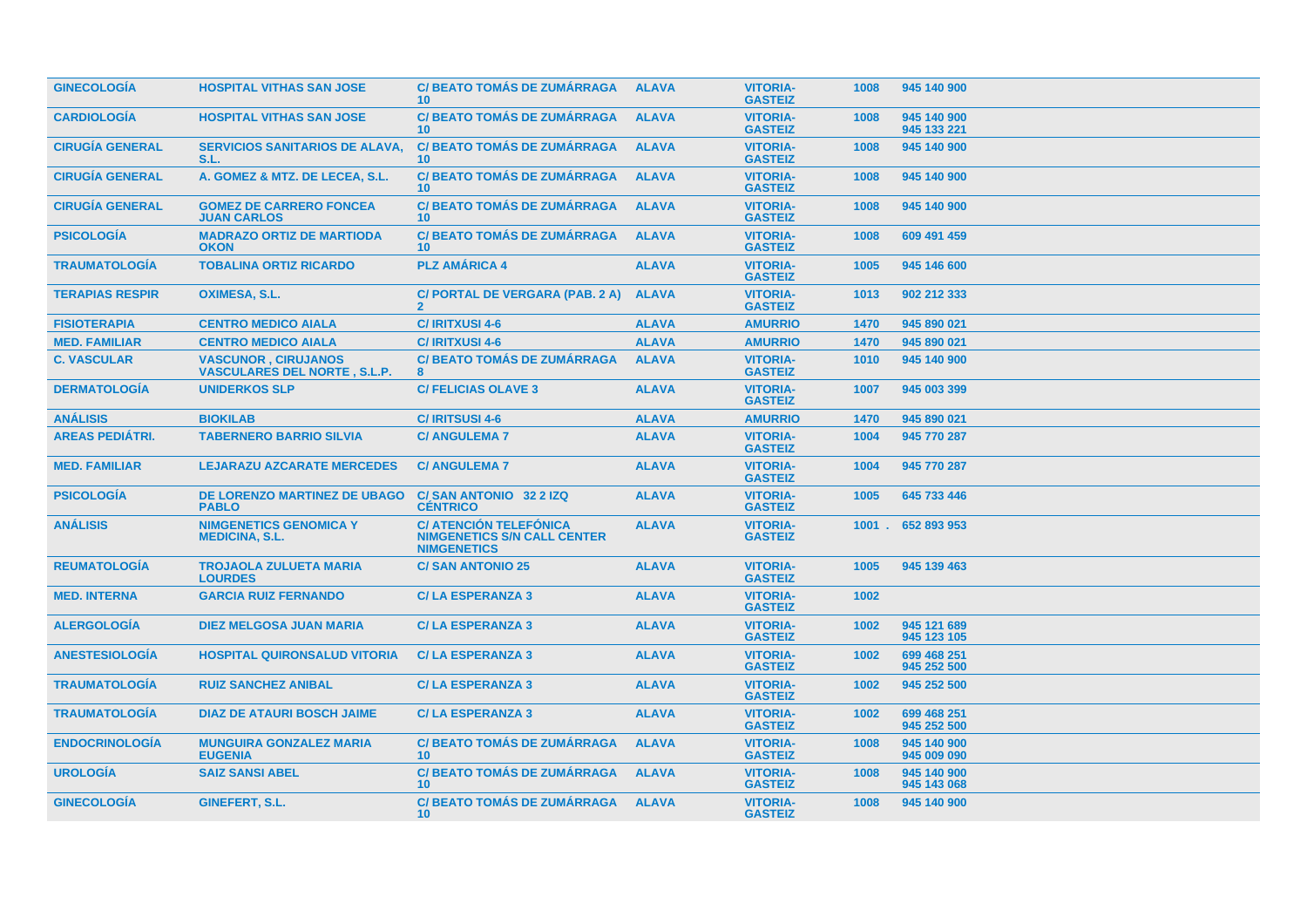| <b>GINECOLOGIA</b>     | <b>HOSPITAL VITHAS SAN JOSE</b>                                   | <b>C/ BEATO TOMÁS DE ZUMÁRRAGA</b><br>10 <sup>°</sup>                                     | <b>ALAVA</b> | <b>VITORIA-</b><br><b>GASTEIZ</b> | 1008 | 945 140 900                |
|------------------------|-------------------------------------------------------------------|-------------------------------------------------------------------------------------------|--------------|-----------------------------------|------|----------------------------|
| <b>CARDIOLOGÍA</b>     | <b>HOSPITAL VITHAS SAN JOSE</b>                                   | <b>C/BEATO TOMÁS DE ZUMÁRRAGA</b><br>10 <sup>1</sup>                                      | <b>ALAVA</b> | <b>VITORIA-</b><br><b>GASTEIZ</b> | 1008 | 945 140 900<br>945 133 221 |
| <b>CIRUGÍA GENERAL</b> | <b>SERVICIOS SANITARIOS DE ALAVA,</b><br>S.L.                     | <b>C/ BEATO TOMÁS DE ZUMÁRRAGA</b><br>10 <sup>°</sup>                                     | <b>ALAVA</b> | <b>VITORIA-</b><br><b>GASTEIZ</b> | 1008 | 945 140 900                |
| <b>CIRUGÍA GENERAL</b> | A. GOMEZ & MTZ. DE LECEA, S.L.                                    | <b>C/BEATO TOMÁS DE ZUMÁRRAGA</b><br>10 <sup>1</sup>                                      | <b>ALAVA</b> | <b>VITORIA-</b><br><b>GASTEIZ</b> | 1008 | 945 140 900                |
| <b>CIRUGÍA GENERAL</b> | <b>GOMEZ DE CARRERO FONCEA</b><br><b>JUAN CARLOS</b>              | <b>C/ BEATO TOMÁS DE ZUMÁRRAGA</b><br>10 <sup>1</sup>                                     | <b>ALAVA</b> | <b>VITORIA-</b><br><b>GASTEIZ</b> | 1008 | 945 140 900                |
| <b>PSICOLOGÍA</b>      | <b>MADRAZO ORTIZ DE MARTIODA</b><br><b>OKON</b>                   | <b>C/BEATO TOMÁS DE ZUMÁRRAGA</b><br>10 <sup>1</sup>                                      | <b>ALAVA</b> | <b>VITORIA-</b><br><b>GASTEIZ</b> | 1008 | 609 491 459                |
| <b>TRAUMATOLOGÍA</b>   | <b>TOBALINA ORTIZ RICARDO</b>                                     | <b>PLZ AMÁRICA 4</b>                                                                      | <b>ALAVA</b> | <b>VITORIA-</b><br><b>GASTEIZ</b> | 1005 | 945 146 600                |
| <b>TERAPIAS RESPIR</b> | <b>OXIMESA, S.L.</b>                                              | C/ PORTAL DE VERGARA (PAB. 2 A)<br>$\overline{2}$                                         | <b>ALAVA</b> | <b>VITORIA-</b><br><b>GASTEIZ</b> | 1013 | 902 212 333                |
| <b>FISIOTERAPIA</b>    | <b>CENTRO MEDICO AIALA</b>                                        | <b>C/IRITXUSI 4-6</b>                                                                     | <b>ALAVA</b> | <b>AMURRIO</b>                    | 1470 | 945 890 021                |
| <b>MED. FAMILIAR</b>   | <b>CENTRO MEDICO AIALA</b>                                        | <b>C/IRITXUSI 4-6</b>                                                                     | <b>ALAVA</b> | <b>AMURRIO</b>                    | 1470 | 945 890 021                |
| <b>C. VASCULAR</b>     | <b>VASCUNOR, CIRUJANOS</b><br><b>VASCULARES DEL NORTE, S.L.P.</b> | <b>C/BEATO TOMÁS DE ZUMÁRRAGA</b><br>8                                                    | <b>ALAVA</b> | <b>VITORIA-</b><br><b>GASTEIZ</b> | 1010 | 945 140 900                |
| <b>DERMATOLOGÍA</b>    | <b>UNIDERKOS SLP</b>                                              | <b>C/ FELICIAS OLAVE 3</b>                                                                | <b>ALAVA</b> | <b>VITORIA-</b><br><b>GASTEIZ</b> | 1007 | 945 003 399                |
| <b>ANÁLISIS</b>        | <b>BIOKILAB</b>                                                   | <b>C/IRITSUSI 4-6</b>                                                                     | <b>ALAVA</b> | <b>AMURRIO</b>                    | 1470 | 945 890 021                |
| <b>AREAS PEDIÁTRI.</b> | <b>TABERNERO BARRIO SILVIA</b>                                    | <b>C/ ANGULEMA 7</b>                                                                      | <b>ALAVA</b> | <b>VITORIA-</b><br><b>GASTEIZ</b> | 1004 | 945 770 287                |
| <b>MED. FAMILIAR</b>   | <b>LEJARAZU AZCARATE MERCEDES</b>                                 | <b>C/ ANGULEMA 7</b>                                                                      | <b>ALAVA</b> | <b>VITORIA-</b><br><b>GASTEIZ</b> | 1004 | 945 770 287                |
| <b>PSICOLOGÍA</b>      | DE LORENZO MARTINEZ DE UBAGO<br><b>PABLO</b>                      | C/SAN ANTONIO 32 2 IZQ<br><b>CÉNTRICO</b>                                                 | <b>ALAVA</b> | <b>VITORIA-</b><br><b>GASTEIZ</b> | 1005 | 645 733 446                |
| <b>ANÁLISIS</b>        | <b>NIMGENETICS GENOMICA Y</b><br><b>MEDICINA, S.L.</b>            | <b>C/ ATENCIÓN TELEFÓNICA</b><br><b>NIMGENETICS S/N CALL CENTER</b><br><b>NIMGENETICS</b> | <b>ALAVA</b> | <b>VITORIA-</b><br><b>GASTEIZ</b> |      | 1001 . 652 893 953         |
| <b>REUMATOLOGÍA</b>    | <b>TROJAOLA ZULUETA MARIA</b><br><b>LOURDES</b>                   | <b>C/SAN ANTONIO 25</b>                                                                   | <b>ALAVA</b> | <b>VITORIA-</b><br><b>GASTEIZ</b> | 1005 | 945 139 463                |
| <b>MED. INTERNA</b>    | <b>GARCIA RUIZ FERNANDO</b>                                       | <b>C/LA ESPERANZA 3</b>                                                                   | <b>ALAVA</b> | <b>VITORIA-</b><br><b>GASTEIZ</b> | 1002 |                            |
| <b>ALERGOLOGÍA</b>     | <b>DIEZ MELGOSA JUAN MARIA</b>                                    | <b>C/LA ESPERANZA 3</b>                                                                   | <b>ALAVA</b> | <b>VITORIA-</b><br><b>GASTEIZ</b> | 1002 | 945 121 689<br>945 123 105 |
| <b>ANESTESIOLOGÍA</b>  | <b>HOSPITAL QUIRONSALUD VITORIA</b>                               | <b>C/LA ESPERANZA 3</b>                                                                   | <b>ALAVA</b> | <b>VITORIA-</b><br><b>GASTEIZ</b> | 1002 | 699 468 251<br>945 252 500 |
| <b>TRAUMATOLOGÍA</b>   | <b>RUIZ SANCHEZ ANIBAL</b>                                        | <b>C/LA ESPERANZA 3</b>                                                                   | <b>ALAVA</b> | <b>VITORIA-</b><br><b>GASTEIZ</b> | 1002 | 945 252 500                |
| <b>TRAUMATOLOGÍA</b>   | <b>DIAZ DE ATAURI BOSCH JAIME</b>                                 | <b>C/LA ESPERANZA 3</b>                                                                   | <b>ALAVA</b> | <b>VITORIA-</b><br><b>GASTEIZ</b> | 1002 | 699 468 251<br>945 252 500 |
| <b>ENDOCRINOLOGÍA</b>  | <b>MUNGUIRA GONZALEZ MARIA</b><br><b>EUGENIA</b>                  | <b>C/BEATO TOMÁS DE ZUMÁRRAGA</b><br>10 <sup>°</sup>                                      | <b>ALAVA</b> | <b>VITORIA-</b><br><b>GASTEIZ</b> | 1008 | 945 140 900<br>945 009 090 |
| <b>UROLOGÍA</b>        | <b>SAIZ SANSI ABEL</b>                                            | <b>C/ BEATO TOMÁS DE ZUMÁRRAGA</b><br>10 <sup>°</sup>                                     | <b>ALAVA</b> | <b>VITORIA-</b><br><b>GASTEIZ</b> | 1008 | 945 140 900<br>945 143 068 |
| <b>GINECOLOGÍA</b>     | GINEFERT, S.L.                                                    | <b>C/BEATO TOMÁS DE ZUMÁRRAGA</b><br>10 <sup>°</sup>                                      | <b>ALAVA</b> | <b>VITORIA-</b><br><b>GASTEIZ</b> | 1008 | 945 140 900                |
|                        |                                                                   |                                                                                           |              |                                   |      |                            |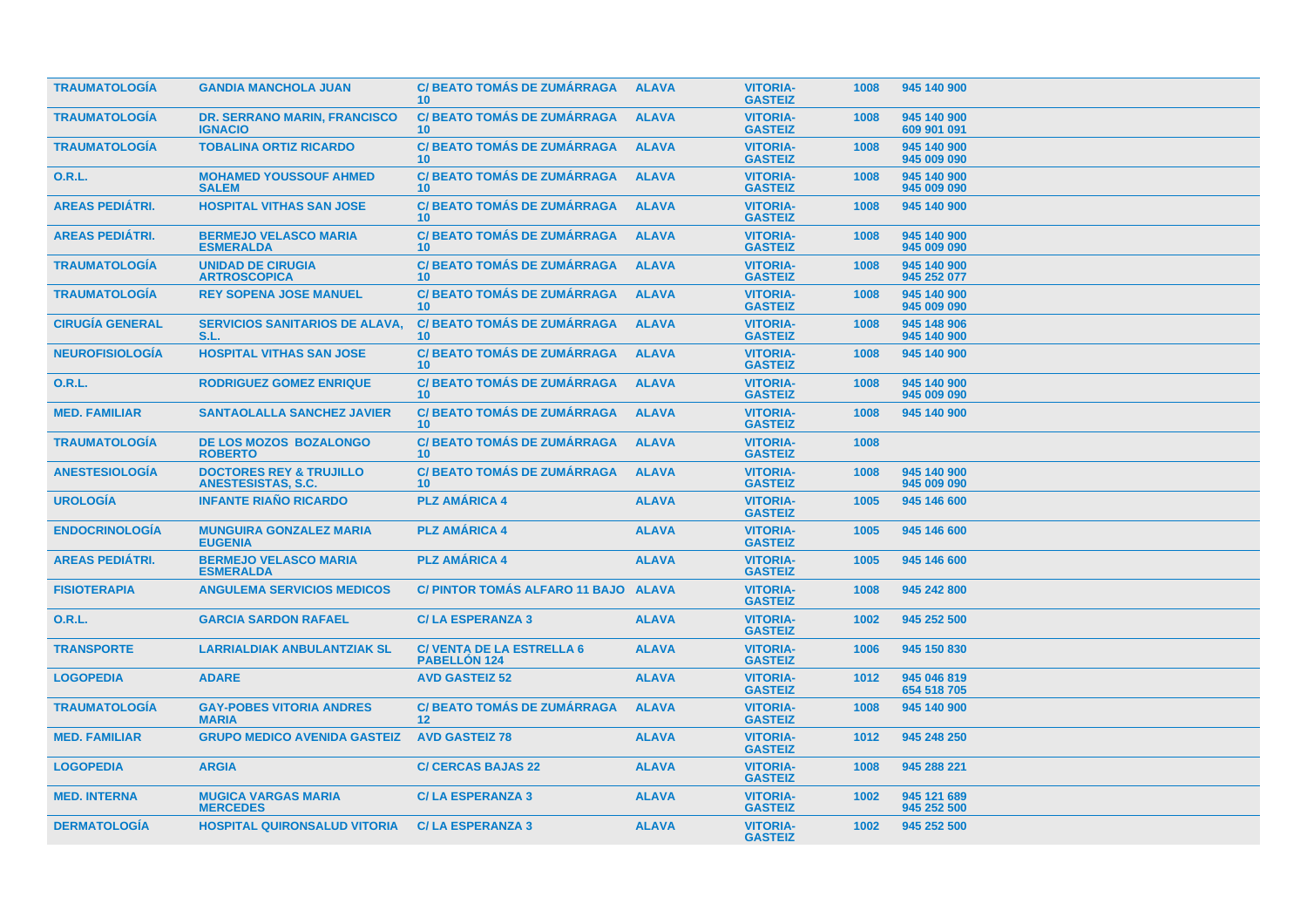| <b>TRAUMATOLOGÍA</b>   | <b>GANDIA MANCHOLA JUAN</b>                                     | <b>C/ BEATO TOMÁS DE ZUMÁRRAGA</b><br>10 <sup>1</sup>   | <b>ALAVA</b> | <b>VITORIA-</b><br><b>GASTEIZ</b> | 1008 | 945 140 900                |
|------------------------|-----------------------------------------------------------------|---------------------------------------------------------|--------------|-----------------------------------|------|----------------------------|
| <b>TRAUMATOLOGÍA</b>   | <b>DR. SERRANO MARIN, FRANCISCO</b><br><b>IGNACIO</b>           | <b>C/BEATO TOMÁS DE ZUMÁRRAGA</b><br>10 <sup>1</sup>    | <b>ALAVA</b> | <b>VITORIA-</b><br><b>GASTEIZ</b> | 1008 | 945 140 900<br>609 901 091 |
| <b>TRAUMATOLOGIA</b>   | <b>TOBALINA ORTIZ RICARDO</b>                                   | <b>C/ BEATO TOMÁS DE ZUMÁRRAGA</b><br>10 <sup>1</sup>   | <b>ALAVA</b> | <b>VITORIA-</b><br><b>GASTEIZ</b> | 1008 | 945 140 900<br>945 009 090 |
| <b>O.R.L.</b>          | <b>MOHAMED YOUSSOUF AHMED</b><br><b>SALEM</b>                   | <b>C/BEATO TOMÁS DE ZUMÁRRAGA</b><br>10 <sup>°</sup>    | <b>ALAVA</b> | <b>VITORIA-</b><br><b>GASTEIZ</b> | 1008 | 945 140 900<br>945 009 090 |
| <b>AREAS PEDIÁTRI.</b> | <b>HOSPITAL VITHAS SAN JOSE</b>                                 | <b>C/ BEATO TOMÁS DE ZUMÁRRAGA</b><br>10 <sup>°</sup>   | <b>ALAVA</b> | <b>VITORIA-</b><br><b>GASTEIZ</b> | 1008 | 945 140 900                |
| <b>AREAS PEDIATRI.</b> | <b>BERMEJO VELASCO MARIA</b><br><b>ESMERALDA</b>                | <b>C/BEATO TOMÁS DE ZUMÁRRAGA</b><br>10 <sup>°</sup>    | <b>ALAVA</b> | <b>VITORIA-</b><br><b>GASTEIZ</b> | 1008 | 945 140 900<br>945 009 090 |
| <b>TRAUMATOLOGÍA</b>   | <b>UNIDAD DE CIRUGIA</b><br><b>ARTROSCOPICA</b>                 | <b>C/BEATO TOMÁS DE ZUMÁRRAGA</b><br>10                 | <b>ALAVA</b> | <b>VITORIA-</b><br><b>GASTEIZ</b> | 1008 | 945 140 900<br>945 252 077 |
| <b>TRAUMATOLOGIA</b>   | <b>REY SOPENA JOSE MANUEL</b>                                   | <b>C/ BEATO TOMAS DE ZUMARRAGA</b><br>10 <sup>1</sup>   | <b>ALAVA</b> | <b>VITORIA-</b><br><b>GASTEIZ</b> | 1008 | 945 140 900<br>945 009 090 |
| <b>CIRUGIA GENERAL</b> | <b>SERVICIOS SANITARIOS DE ALAVA.</b><br>S.L.                   | <b>C/ BEATO TOMÁS DE ZUMÁRRAGA</b><br>10                | <b>ALAVA</b> | <b>VITORIA-</b><br><b>GASTEIZ</b> | 1008 | 945 148 906<br>945 140 900 |
| <b>NEUROFISIOLOGIA</b> | <b>HOSPITAL VITHAS SAN JOSE</b>                                 | <b>C/BEATO TOMÁS DE ZUMÁRRAGA</b><br>10 <sup>°</sup>    | <b>ALAVA</b> | <b>VITORIA-</b><br><b>GASTEIZ</b> | 1008 | 945 140 900                |
| 0.R.L.                 | <b>RODRIGUEZ GOMEZ ENRIQUE</b>                                  | <b>C/ BEATO TOMÁS DE ZUMÁRRAGA</b><br>10 <sup>°</sup>   | <b>ALAVA</b> | <b>VITORIA-</b><br><b>GASTEIZ</b> | 1008 | 945 140 900<br>945 009 090 |
| <b>MED. FAMILIAR</b>   | <b>SANTAOLALLA SANCHEZ JAVIER</b>                               | <b>C/BEATO TOMÁS DE ZUMÁRRAGA</b><br>10 <sup>°</sup>    | <b>ALAVA</b> | <b>VITORIA-</b><br><b>GASTEIZ</b> | 1008 | 945 140 900                |
| <b>TRAUMATOLOGÍA</b>   | <b>DE LOS MOZOS BOZALONGO</b><br><b>ROBERTO</b>                 | <b>C/BEATO TOMÁS DE ZUMÁRRAGA</b><br>10 <sup>°</sup>    | <b>ALAVA</b> | <b>VITORIA-</b><br><b>GASTEIZ</b> | 1008 |                            |
| <b>ANESTESIOLOGÍA</b>  | <b>DOCTORES REY &amp; TRUJILLO</b><br><b>ANESTESISTAS, S.C.</b> | <b>C/BEATO TOMÁS DE ZUMÁRRAGA</b><br>10 <sup>°</sup>    | <b>ALAVA</b> | <b>VITORIA-</b><br><b>GASTEIZ</b> | 1008 | 945 140 900<br>945 009 090 |
| <b>UROLOGÍA</b>        | <b>INFANTE RIAÑO RICARDO</b>                                    | <b>PLZ AMÁRICA 4</b>                                    | <b>ALAVA</b> | <b>VITORIA-</b><br><b>GASTEIZ</b> | 1005 | 945 146 600                |
| <b>ENDOCRINOLOGÍA</b>  | <b>MUNGUIRA GONZALEZ MARIA</b><br><b>EUGENIA</b>                | <b>PLZ AMÁRICA 4</b>                                    | <b>ALAVA</b> | <b>VITORIA-</b><br><b>GASTEIZ</b> | 1005 | 945 146 600                |
| <b>AREAS PEDIÁTRI.</b> | <b>BERMEJO VELASCO MARIA</b><br><b>ESMERALDA</b>                | <b>PLZ AMÁRICA 4</b>                                    | <b>ALAVA</b> | <b>VITORIA-</b><br><b>GASTEIZ</b> | 1005 | 945 146 600                |
| <b>FISIOTERAPIA</b>    | <b>ANGULEMA SERVICIOS MEDICOS</b>                               | C/ PINTOR TOMÁS ALFARO 11 BAJO ALAVA                    |              | <b>VITORIA-</b><br><b>GASTEIZ</b> | 1008 | 945 242 800                |
| <b>O.R.L.</b>          | <b>GARCIA SARDON RAFAEL</b>                                     | <b>C/LA ESPERANZA 3</b>                                 | <b>ALAVA</b> | <b>VITORIA-</b><br><b>GASTEIZ</b> | 1002 | 945 252 500                |
| <b>TRANSPORTE</b>      | <b>LARRIALDIAK ANBULANTZIAK SL</b>                              | <b>C/ VENTA DE LA ESTRELLA 6</b><br><b>PABELLON 124</b> | <b>ALAVA</b> | <b>VITORIA-</b><br><b>GASTEIZ</b> | 1006 | 945 150 830                |
| <b>LOGOPEDIA</b>       | <b>ADARE</b>                                                    | <b>AVD GASTEIZ 52</b>                                   | <b>ALAVA</b> | <b>VITORIA-</b><br><b>GASTEIZ</b> | 1012 | 945 046 819<br>654 518 705 |
| <b>TRAUMATOLOGÍA</b>   | <b>GAY-POBES VITORIA ANDRES</b><br><b>MARIA</b>                 | <b>C/ BEATO TOMÁS DE ZUMÁRRAGA</b><br>12 <sup>2</sup>   | <b>ALAVA</b> | <b>VITORIA-</b><br><b>GASTEIZ</b> | 1008 | 945 140 900                |
| <b>MED. FAMILIAR</b>   | <b>GRUPO MEDICO AVENIDA GASTEIZ</b>                             | <b>AVD GASTEIZ 78</b>                                   | <b>ALAVA</b> | <b>VITORIA-</b><br><b>GASTEIZ</b> | 1012 | 945 248 250                |
| <b>LOGOPEDIA</b>       | <b>ARGIA</b>                                                    | <b>C/ CERCAS BAJAS 22</b>                               | <b>ALAVA</b> | <b>VITORIA-</b><br><b>GASTEIZ</b> | 1008 | 945 288 221                |
| <b>MED. INTERNA</b>    | <b>MUGICA VARGAS MARIA</b><br><b>MERCEDES</b>                   | <b>C/LA ESPERANZA 3</b>                                 | <b>ALAVA</b> | <b>VITORIA-</b><br><b>GASTEIZ</b> | 1002 | 945 121 689<br>945 252 500 |
| <b>DERMATOLOGIA</b>    | <b>HOSPITAL QUIRONSALUD VITORIA</b>                             | <b>C/LA ESPERANZA 3</b>                                 | <b>ALAVA</b> | <b>VITORIA-</b><br><b>GASTEIZ</b> | 1002 | 945 252 500                |
|                        |                                                                 |                                                         |              |                                   |      |                            |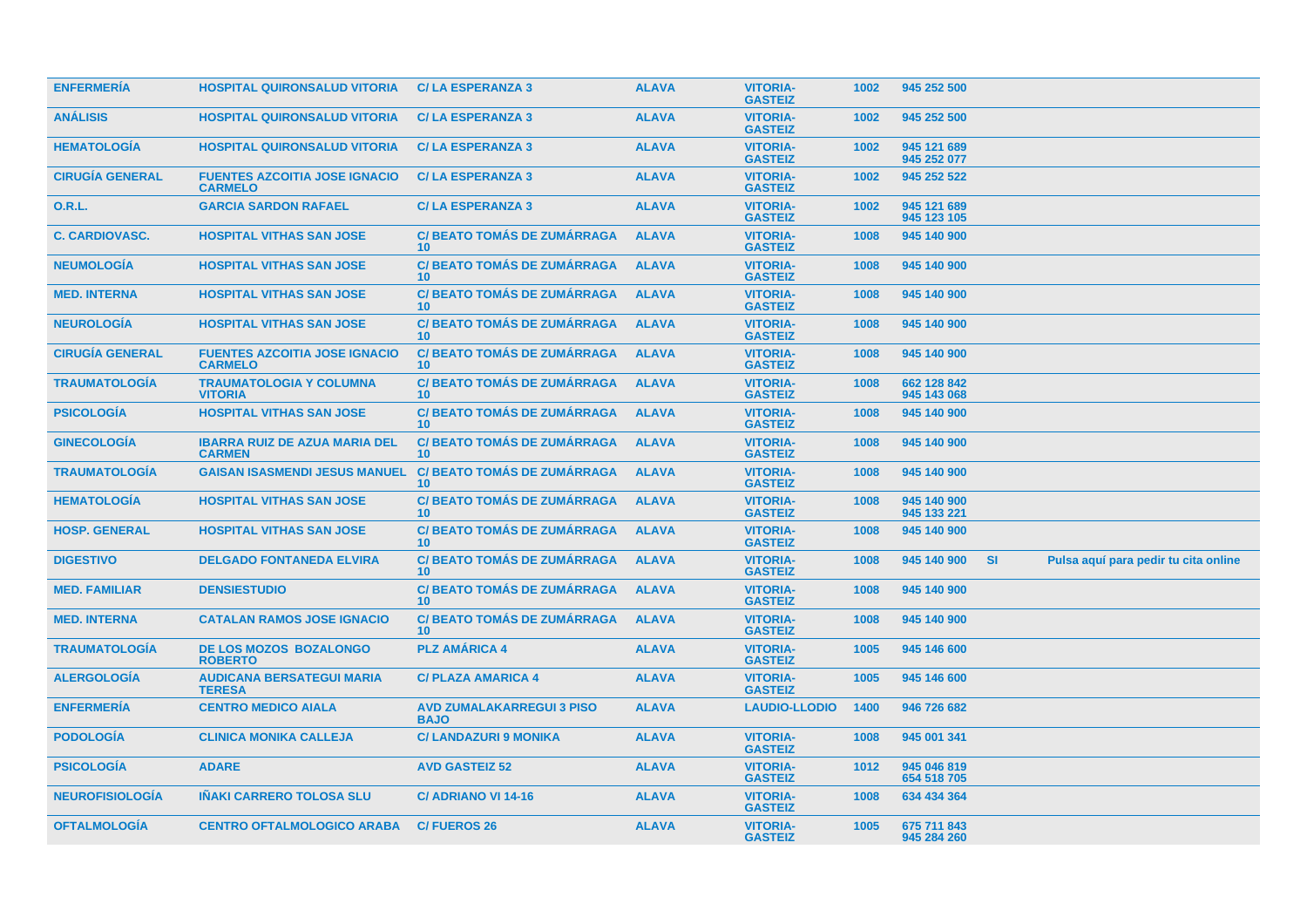| <b>ENFERMERÍA</b>      | <b>HOSPITAL QUIRONSALUD VITORIA</b>                    | <b>C/LA ESPERANZA 3</b>                               | <b>ALAVA</b> | <b>VITORIA-</b><br><b>GASTEIZ</b> | 1002 | 945 252 500                |           |                                      |  |
|------------------------|--------------------------------------------------------|-------------------------------------------------------|--------------|-----------------------------------|------|----------------------------|-----------|--------------------------------------|--|
| <b>ANÁLISIS</b>        | <b>HOSPITAL QUIRONSALUD VITORIA</b>                    | <b>C/LA ESPERANZA 3</b>                               | <b>ALAVA</b> | <b>VITORIA-</b><br><b>GASTEIZ</b> | 1002 | 945 252 500                |           |                                      |  |
| <b>HEMATOLOGÍA</b>     | <b>HOSPITAL QUIRONSALUD VITORIA</b>                    | <b>C/LA ESPERANZA 3</b>                               | <b>ALAVA</b> | <b>VITORIA-</b><br><b>GASTEIZ</b> | 1002 | 945 121 689<br>945 252 077 |           |                                      |  |
| <b>CIRUGÍA GENERAL</b> | <b>FUENTES AZCOITIA JOSE IGNACIO</b><br><b>CARMELO</b> | <b>C/LA ESPERANZA 3</b>                               | <b>ALAVA</b> | <b>VITORIA-</b><br><b>GASTEIZ</b> | 1002 | 945 252 522                |           |                                      |  |
| <b>O.R.L.</b>          | <b>GARCIA SARDON RAFAEL</b>                            | <b>C/LA ESPERANZA 3</b>                               | <b>ALAVA</b> | <b>VITORIA-</b><br><b>GASTEIZ</b> | 1002 | 945 121 689<br>945 123 105 |           |                                      |  |
| <b>C. CARDIOVASC.</b>  | <b>HOSPITAL VITHAS SAN JOSE</b>                        | <b>C/BEATO TOMÁS DE ZUMÁRRAGA</b><br>10 <sup>°</sup>  | <b>ALAVA</b> | <b>VITORIA-</b><br><b>GASTEIZ</b> | 1008 | 945 140 900                |           |                                      |  |
| <b>NEUMOLOGÍA</b>      | <b>HOSPITAL VITHAS SAN JOSE</b>                        | <b>C/BEATO TOMÁS DE ZUMÁRRAGA</b><br>10               | <b>ALAVA</b> | <b>VITORIA-</b><br><b>GASTEIZ</b> | 1008 | 945 140 900                |           |                                      |  |
| <b>MED. INTERNA</b>    | <b>HOSPITAL VITHAS SAN JOSE</b>                        | <b>C/BEATO TOMÁS DE ZUMÁRRAGA</b><br>10 <sup>°</sup>  | <b>ALAVA</b> | <b>VITORIA-</b><br><b>GASTEIZ</b> | 1008 | 945 140 900                |           |                                      |  |
| <b>NEUROLOGÍA</b>      | <b>HOSPITAL VITHAS SAN JOSE</b>                        | <b>C/ BEATO TOMÁS DE ZUMÁRRAGA</b><br>10 <sup>1</sup> | <b>ALAVA</b> | <b>VITORIA-</b><br><b>GASTEIZ</b> | 1008 | 945 140 900                |           |                                      |  |
| <b>CIRUGÍA GENERAL</b> | <b>FUENTES AZCOITIA JOSE IGNACIO</b><br><b>CARMELO</b> | <b>C/BEATO TOMÁS DE ZUMÁRRAGA</b><br>10 <sup>°</sup>  | <b>ALAVA</b> | <b>VITORIA-</b><br><b>GASTEIZ</b> | 1008 | 945 140 900                |           |                                      |  |
| <b>TRAUMATOLOGÍA</b>   | <b>TRAUMATOLOGIA Y COLUMNA</b><br><b>VITORIA</b>       | <b>C/ BEATO TOMÁS DE ZUMÁRRAGA</b><br>10 <sup>°</sup> | <b>ALAVA</b> | <b>VITORIA-</b><br><b>GASTEIZ</b> | 1008 | 662 128 842<br>945 143 068 |           |                                      |  |
| <b>PSICOLOGIA</b>      | <b>HOSPITAL VITHAS SAN JOSE</b>                        | <b>C/BEATO TOMÁS DE ZUMÁRRAGA</b><br>10 <sup>1</sup>  | <b>ALAVA</b> | <b>VITORIA-</b><br><b>GASTEIZ</b> | 1008 | 945 140 900                |           |                                      |  |
| <b>GINECOLOGÍA</b>     | <b>IBARRA RUIZ DE AZUA MARIA DEL</b><br><b>CARMEN</b>  | <b>C/ BEATO TOMÁS DE ZUMÁRRAGA</b><br>10 <sup>°</sup> | <b>ALAVA</b> | <b>VITORIA-</b><br><b>GASTEIZ</b> | 1008 | 945 140 900                |           |                                      |  |
| <b>TRAUMATOLOGÍA</b>   | <b>GAISAN ISASMENDI JESUS MANUEL</b>                   | <b>C/BEATO TOMÁS DE ZUMÁRRAGA</b><br>10               | <b>ALAVA</b> | <b>VITORIA-</b><br><b>GASTEIZ</b> | 1008 | 945 140 900                |           |                                      |  |
| <b>HEMATOLOGIA</b>     | <b>HOSPITAL VITHAS SAN JOSE</b>                        | <b>C/BEATO TOMÁS DE ZUMÁRRAGA</b><br>10 <sup>1</sup>  | <b>ALAVA</b> | <b>VITORIA-</b><br><b>GASTEIZ</b> | 1008 | 945 140 900<br>945 133 221 |           |                                      |  |
| <b>HOSP. GENERAL</b>   | <b>HOSPITAL VITHAS SAN JOSE</b>                        | <b>C/BEATO TOMÁS DE ZUMÁRRAGA</b><br>10               | <b>ALAVA</b> | <b>VITORIA-</b><br><b>GASTEIZ</b> | 1008 | 945 140 900                |           |                                      |  |
| <b>DIGESTIVO</b>       | <b>DELGADO FONTANEDA ELVIRA</b>                        | <b>C/BEATO TOMÁS DE ZUMÁRRAGA</b><br>10 <sup>°</sup>  | <b>ALAVA</b> | <b>VITORIA-</b><br><b>GASTEIZ</b> | 1008 | 945 140 900                | <b>SI</b> | Pulsa aquí para pedir tu cita online |  |
| <b>MED. FAMILIAR</b>   | <b>DENSIESTUDIO</b>                                    | <b>C/ BEATO TOMÁS DE ZUMÁRRAGA</b><br>10 <sup>°</sup> | <b>ALAVA</b> | <b>VITORIA-</b><br><b>GASTEIZ</b> | 1008 | 945 140 900                |           |                                      |  |
| <b>MED. INTERNA</b>    | <b>CATALAN RAMOS JOSE IGNACIO</b>                      | <b>C/BEATO TOMÁS DE ZUMÁRRAGA</b><br>10 <sup>°</sup>  | <b>ALAVA</b> | <b>VITORIA-</b><br><b>GASTEIZ</b> | 1008 | 945 140 900                |           |                                      |  |
| <b>TRAUMATOLOGÍA</b>   | <b>DE LOS MOZOS BOZALONGO</b><br><b>ROBERTO</b>        | <b>PLZ AMÁRICA 4</b>                                  | <b>ALAVA</b> | <b>VITORIA-</b><br><b>GASTEIZ</b> | 1005 | 945 146 600                |           |                                      |  |
| <b>ALERGOLOGÍA</b>     | <b>AUDICANA BERSATEGUI MARIA</b><br><b>TERESA</b>      | <b>C/ PLAZA AMARICA 4</b>                             | <b>ALAVA</b> | <b>VITORIA-</b><br><b>GASTEIZ</b> | 1005 | 945 146 600                |           |                                      |  |
| <b>ENFERMERÍA</b>      | <b>CENTRO MEDICO AIALA</b>                             | <b>AVD ZUMALAKARREGUI 3 PISO</b><br><b>BAJO</b>       | <b>ALAVA</b> | <b>LAUDIO-LLODIO</b>              | 1400 | 946 726 682                |           |                                      |  |
| <b>PODOLOGÍA</b>       | <b>CLINICA MONIKA CALLEJA</b>                          | <b>C/ LANDAZURI 9 MONIKA</b>                          | <b>ALAVA</b> | <b>VITORIA-</b><br><b>GASTEIZ</b> | 1008 | 945 001 341                |           |                                      |  |
| <b>PSICOLOGÍA</b>      | <b>ADARE</b>                                           | <b>AVD GASTEIZ 52</b>                                 | <b>ALAVA</b> | <b>VITORIA-</b><br><b>GASTEIZ</b> | 1012 | 945 046 819<br>654 518 705 |           |                                      |  |
| <b>NEUROFISIOLOGÍA</b> | <b>INAKI CARRERO TOLOSA SLU</b>                        | C/ ADRIANO VI 14-16                                   | <b>ALAVA</b> | <b>VITORIA-</b><br><b>GASTEIZ</b> | 1008 | 634 434 364                |           |                                      |  |
| <b>OFTALMOLOGIA</b>    | <b>CENTRO OFTALMOLOGICO ARABA</b>                      | <b>C/FUEROS 26</b>                                    | <b>ALAVA</b> | <b>VITORIA-</b><br><b>GASTEIZ</b> | 1005 | 675 711 843<br>945 284 260 |           |                                      |  |
|                        |                                                        |                                                       |              |                                   |      |                            |           |                                      |  |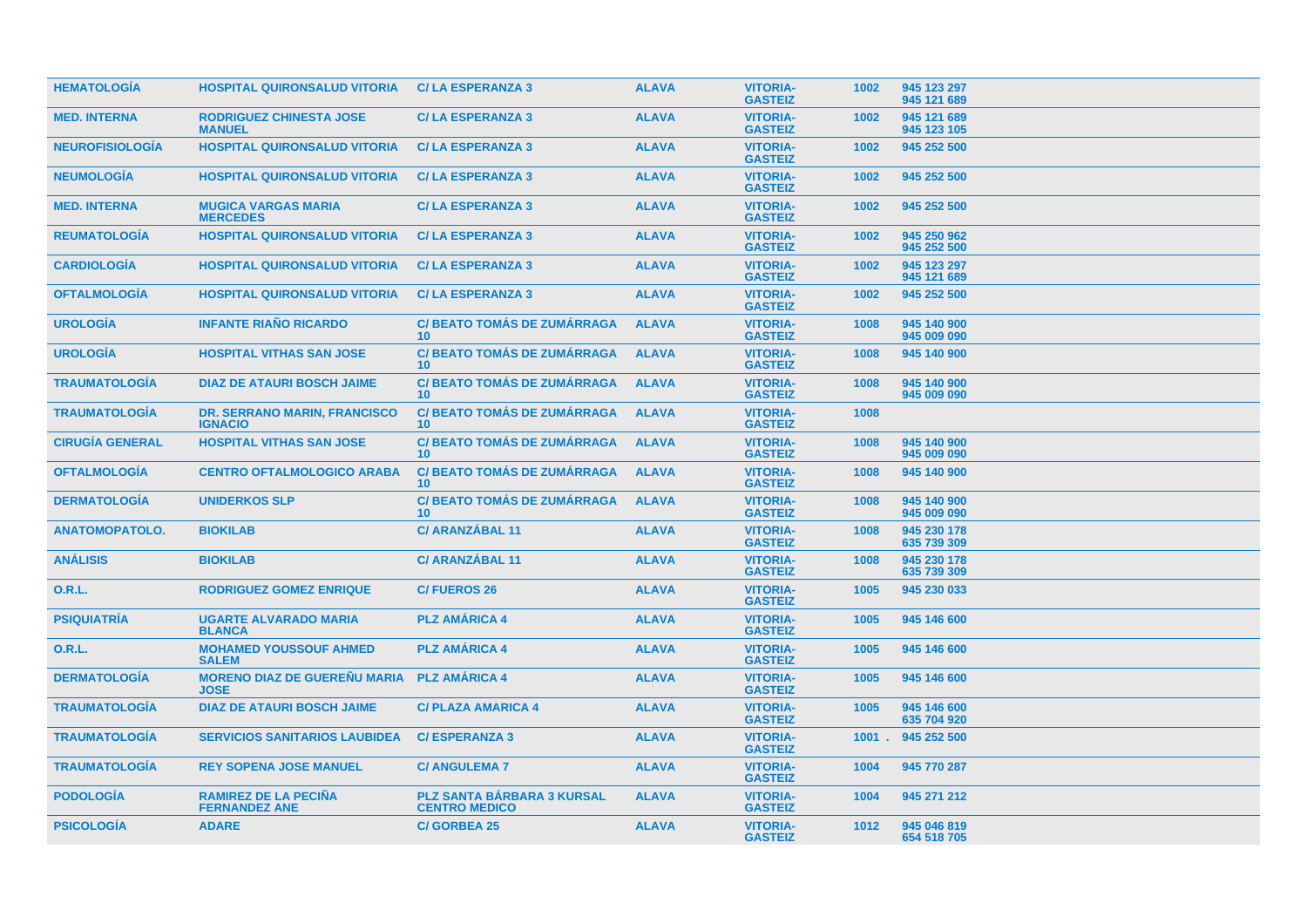| <b>HEMATOLOGÍA</b>     | <b>HOSPITAL QUIRONSALUD VITORIA</b>                   | <b>C/LA ESPERANZA 3</b>                                   | <b>ALAVA</b> | <b>VITORIA-</b><br><b>GASTEIZ</b> | 1002     | 945 123 297<br>945 121 689 |
|------------------------|-------------------------------------------------------|-----------------------------------------------------------|--------------|-----------------------------------|----------|----------------------------|
| <b>MED. INTERNA</b>    | <b>RODRIGUEZ CHINESTA JOSE</b><br><b>MANUEL</b>       | <b>C/LA ESPERANZA 3</b>                                   | <b>ALAVA</b> | <b>VITORIA-</b><br><b>GASTEIZ</b> | 1002     | 945 121 689<br>945 123 105 |
| <b>NEUROFISIOLOGÍA</b> | <b>HOSPITAL QUIRONSALUD VITORIA</b>                   | <b>C/LA ESPERANZA 3</b>                                   | <b>ALAVA</b> | <b>VITORIA-</b><br><b>GASTEIZ</b> | 1002     | 945 252 500                |
| <b>NEUMOLOGÍA</b>      | <b>HOSPITAL QUIRONSALUD VITORIA</b>                   | <b>C/LA ESPERANZA 3</b>                                   | <b>ALAVA</b> | <b>VITORIA-</b><br><b>GASTEIZ</b> | 1002     | 945 252 500                |
| <b>MED. INTERNA</b>    | <b>MUGICA VARGAS MARIA</b><br><b>MERCEDES</b>         | <b>C/LA ESPERANZA 3</b>                                   | <b>ALAVA</b> | <b>VITORIA-</b><br><b>GASTEIZ</b> | 1002     | 945 252 500                |
| <b>REUMATOLOGÍA</b>    | <b>HOSPITAL QUIRONSALUD VITORIA</b>                   | <b>C/LA ESPERANZA 3</b>                                   | <b>ALAVA</b> | <b>VITORIA-</b><br><b>GASTEIZ</b> | 1002     | 945 250 962<br>945 252 500 |
| <b>CARDIOLOGÍA</b>     | <b>HOSPITAL QUIRONSALUD VITORIA</b>                   | <b>C/LA ESPERANZA 3</b>                                   | <b>ALAVA</b> | <b>VITORIA-</b><br><b>GASTEIZ</b> | 1002     | 945 123 297<br>945 121 689 |
| <b>OFTALMOLOGÍA</b>    | <b>HOSPITAL QUIRONSALUD VITORIA</b>                   | <b>C/LA ESPERANZA 3</b>                                   | <b>ALAVA</b> | <b>VITORIA-</b><br><b>GASTEIZ</b> | 1002     | 945 252 500                |
| <b>UROLOGÍA</b>        | <b>INFANTE RIAÑO RICARDO</b>                          | <b>C/BEATO TOMÁS DE ZUMÁRRAGA</b><br>10 <sup>1</sup>      | <b>ALAVA</b> | <b>VITORIA-</b><br><b>GASTEIZ</b> | 1008     | 945 140 900<br>945 009 090 |
| <b>UROLOGÍA</b>        | <b>HOSPITAL VITHAS SAN JOSE</b>                       | <b>C/BEATO TOMÁS DE ZUMÁRRAGA</b><br>10 <sup>°</sup>      | <b>ALAVA</b> | <b>VITORIA-</b><br><b>GASTEIZ</b> | 1008     | 945 140 900                |
| <b>TRAUMATOLOGIA</b>   | <b>DIAZ DE ATAURI BOSCH JAIME</b>                     | <b>C/BEATO TOMÁS DE ZUMÁRRAGA</b><br>10 <sup>°</sup>      | <b>ALAVA</b> | <b>VITORIA-</b><br><b>GASTEIZ</b> | 1008     | 945 140 900<br>945 009 090 |
| <b>TRAUMATOLOGIA</b>   | <b>DR. SERRANO MARIN, FRANCISCO</b><br><b>IGNACIO</b> | <b>C/BEATO TOMÁS DE ZUMÁRRAGA</b><br>10 <sup>°</sup>      | <b>ALAVA</b> | <b>VITORIA-</b><br><b>GASTEIZ</b> | 1008     |                            |
| <b>CIRUGÍA GENERAL</b> | <b>HOSPITAL VITHAS SAN JOSE</b>                       | <b>C/BEATO TOMÁS DE ZUMÁRRAGA</b><br>10 <sup>1</sup>      | <b>ALAVA</b> | <b>VITORIA-</b><br><b>GASTEIZ</b> | 1008     | 945 140 900<br>945 009 090 |
| <b>OFTALMOLOGÍA</b>    | <b>CENTRO OFTALMOLOGICO ARABA</b>                     | <b>C/BEATO TOMÁS DE ZUMÁRRAGA</b><br>10 <sup>1</sup>      | <b>ALAVA</b> | <b>VITORIA-</b><br><b>GASTEIZ</b> | 1008     | 945 140 900                |
| <b>DERMATOLOGÍA</b>    | <b>UNIDERKOS SLP</b>                                  | <b>C/BEATO TOMÁS DE ZUMÁRRAGA</b><br>10 <sup>°</sup>      | <b>ALAVA</b> | <b>VITORIA-</b><br><b>GASTEIZ</b> | 1008     | 945 140 900<br>945 009 090 |
| <b>ANATOMOPATOLO.</b>  | <b>BIOKILAB</b>                                       | <b>C/ ARANZÁBAL 11</b>                                    | <b>ALAVA</b> | <b>VITORIA-</b><br><b>GASTEIZ</b> | 1008     | 945 230 178<br>635 739 309 |
| <b>ANÁLISIS</b>        | <b>BIOKILAB</b>                                       | <b>C/ ARANZÁBAL 11</b>                                    | <b>ALAVA</b> | <b>VITORIA-</b><br><b>GASTEIZ</b> | 1008     | 945 230 178<br>635 739 309 |
| <b>O.R.L.</b>          | <b>RODRIGUEZ GOMEZ ENRIQUE</b>                        | <b>C/FUEROS 26</b>                                        | <b>ALAVA</b> | <b>VITORIA-</b><br><b>GASTEIZ</b> | 1005     | 945 230 033                |
| <b>PSIQUIATRÍA</b>     | <b>UGARTE ALVARADO MARIA</b><br><b>BLANCA</b>         | <b>PLZ AMÁRICA 4</b>                                      | <b>ALAVA</b> | <b>VITORIA-</b><br><b>GASTEIZ</b> | 1005     | 945 146 600                |
| <b>O.R.L.</b>          | <b>MOHAMED YOUSSOUF AHMED</b><br><b>SALEM</b>         | <b>PLZ AMÁRICA 4</b>                                      | <b>ALAVA</b> | <b>VITORIA-</b><br><b>GASTEIZ</b> | 1005     | 945 146 600                |
| <b>DERMATOLOGÍA</b>    | <b>MORENO DIAZ DE GUEREÑU MARIA</b><br><b>JOSE</b>    | <b>PLZ AMÁRICA 4</b>                                      | <b>ALAVA</b> | <b>VITORIA-</b><br><b>GASTEIZ</b> | 1005     | 945 146 600                |
| <b>TRAUMATOLOGÍA</b>   | <b>DIAZ DE ATAURI BOSCH JAIME</b>                     | <b>C/ PLAZA AMARICA 4</b>                                 | <b>ALAVA</b> | <b>VITORIA-</b><br><b>GASTEIZ</b> | 1005     | 945 146 600<br>635 704 920 |
| <b>TRAUMATOLOGÍA</b>   | <b>SERVICIOS SANITARIOS LAUBIDEA</b>                  | <b>C/ESPERANZA 3</b>                                      | <b>ALAVA</b> | <b>VITORIA-</b><br><b>GASTEIZ</b> | $1001$ . | 945 252 500                |
| <b>TRAUMATOLOGÍA</b>   | <b>REY SOPENA JOSE MANUEL</b>                         | <b>C/ ANGULEMA 7</b>                                      | <b>ALAVA</b> | <b>VITORIA-</b><br><b>GASTEIZ</b> | 1004     | 945 770 287                |
| <b>PODOLOGÍA</b>       | <b>RAMIREZ DE LA PECIÑA</b><br><b>FERNANDEZ ANE</b>   | <b>PLZ SANTA BÁRBARA 3 KURSAL</b><br><b>CENTRO MEDICO</b> | <b>ALAVA</b> | <b>VITORIA-</b><br><b>GASTEIZ</b> | 1004     | 945 271 212                |
| <b>PSICOLOGIA</b>      | <b>ADARE</b>                                          | <b>C/GORBEA 25</b>                                        | <b>ALAVA</b> | <b>VITORIA-</b><br><b>GASTEIZ</b> | 1012     | 945 046 819<br>654 518 705 |
|                        |                                                       |                                                           |              |                                   |          |                            |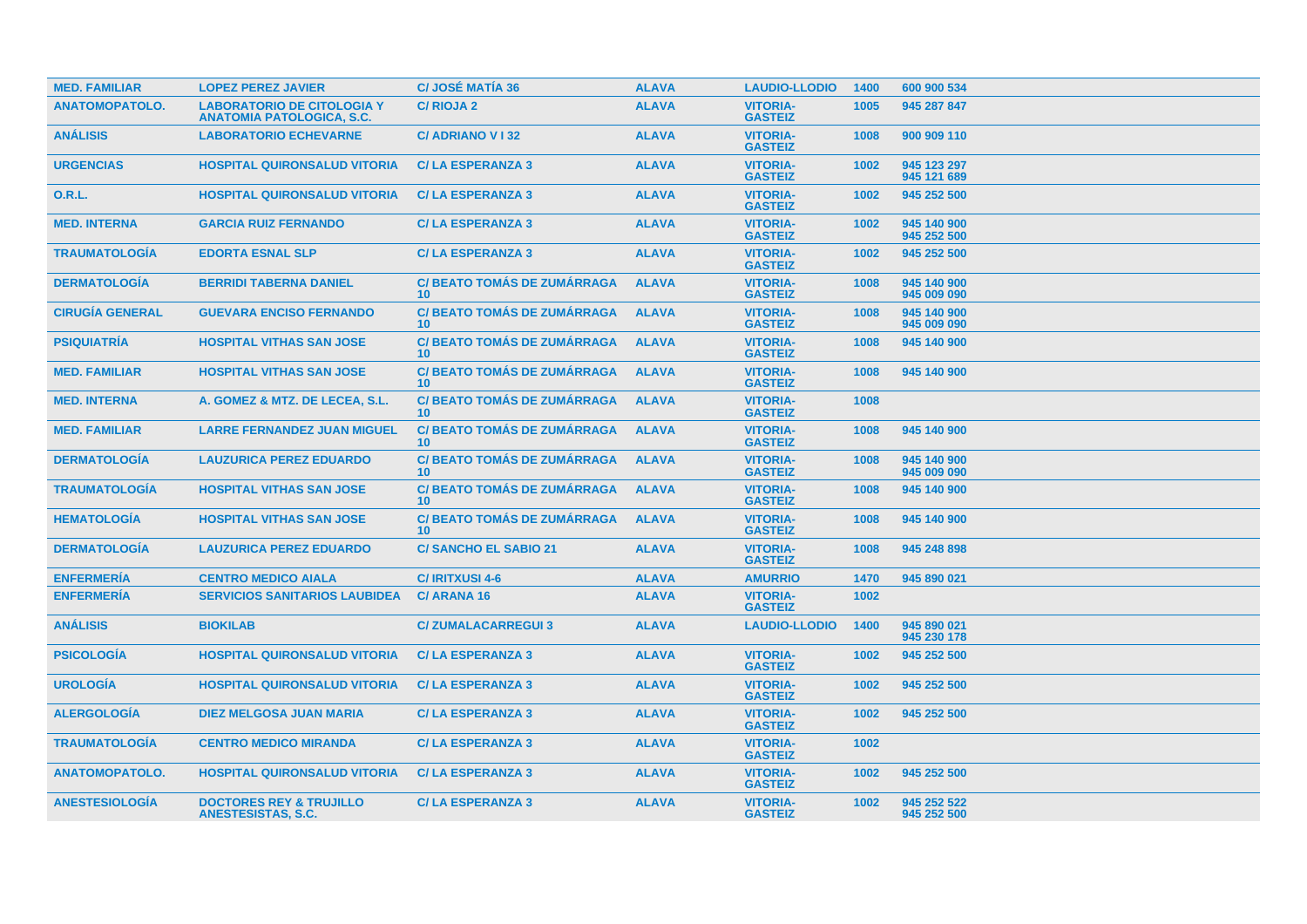| <b>MED. FAMILIAR</b>   | <b>LOPEZ PEREZ JAVIER</b>                                             | <b>C/JOSÉ MATÍA 36</b>                                | <b>ALAVA</b> | <b>LAUDIO-LLODIO</b>              | 1400 | 600 900 534                |
|------------------------|-----------------------------------------------------------------------|-------------------------------------------------------|--------------|-----------------------------------|------|----------------------------|
| <b>ANATOMOPATOLO.</b>  | <b>LABORATORIO DE CITOLOGIA Y</b><br><b>ANATOMIA PATOLOGICA, S.C.</b> | <b>C/RIOJA2</b>                                       | <b>ALAVA</b> | <b>VITORIA-</b><br><b>GASTEIZ</b> | 1005 | 945 287 847                |
| <b>ANÁLISIS</b>        | <b>LABORATORIO ECHEVARNE</b>                                          | <b>C/ADRIANO V132</b>                                 | <b>ALAVA</b> | <b>VITORIA-</b><br><b>GASTEIZ</b> | 1008 | 900 909 110                |
| <b>URGENCIAS</b>       | <b>HOSPITAL QUIRONSALUD VITORIA</b>                                   | <b>C/LA ESPERANZA 3</b>                               | <b>ALAVA</b> | <b>VITORIA-</b><br><b>GASTEIZ</b> | 1002 | 945 123 297<br>945 121 689 |
| <b>O.R.L.</b>          | <b>HOSPITAL QUIRONSALUD VITORIA</b>                                   | <b>C/LA ESPERANZA 3</b>                               | <b>ALAVA</b> | <b>VITORIA-</b><br><b>GASTEIZ</b> | 1002 | 945 252 500                |
| <b>MED. INTERNA</b>    | <b>GARCIA RUIZ FERNANDO</b>                                           | <b>C/LA ESPERANZA 3</b>                               | <b>ALAVA</b> | <b>VITORIA-</b><br><b>GASTEIZ</b> | 1002 | 945 140 900<br>945 252 500 |
| <b>TRAUMATOLOGIA</b>   | <b>EDORTA ESNAL SLP</b>                                               | <b>C/LA ESPERANZA 3</b>                               | <b>ALAVA</b> | <b>VITORIA-</b><br><b>GASTEIZ</b> | 1002 | 945 252 500                |
| <b>DERMATOLOGÍA</b>    | <b>BERRIDI TABERNA DANIEL</b>                                         | <b>C/BEATO TOMÁS DE ZUMÁRRAGA</b><br>10 <sup>°</sup>  | <b>ALAVA</b> | <b>VITORIA-</b><br><b>GASTEIZ</b> | 1008 | 945 140 900<br>945 009 090 |
| <b>CIRUGÍA GENERAL</b> | <b>GUEVARA ENCISO FERNANDO</b>                                        | <b>C/ BEATO TOMÁS DE ZUMÁRRAGA</b><br>10 <sup>1</sup> | <b>ALAVA</b> | <b>VITORIA-</b><br><b>GASTEIZ</b> | 1008 | 945 140 900<br>945 009 090 |
| <b>PSIQUIATRÍA</b>     | <b>HOSPITAL VITHAS SAN JOSE</b>                                       | <b>C/BEATO TOMÁS DE ZUMÁRRAGA</b><br>10 <sup>°</sup>  | <b>ALAVA</b> | <b>VITORIA-</b><br><b>GASTEIZ</b> | 1008 | 945 140 900                |
| <b>MED. FAMILIAR</b>   | <b>HOSPITAL VITHAS SAN JOSE</b>                                       | <b>C/ BEATO TOMÁS DE ZUMÁRRAGA</b><br>10 <sup>°</sup> | <b>ALAVA</b> | <b>VITORIA-</b><br><b>GASTEIZ</b> | 1008 | 945 140 900                |
| <b>MED. INTERNA</b>    | A. GOMEZ & MTZ. DE LECEA, S.L.                                        | <b>C/BEATO TOMÁS DE ZUMÁRRAGA</b><br>10 <sup>°</sup>  | <b>ALAVA</b> | <b>VITORIA-</b><br><b>GASTEIZ</b> | 1008 |                            |
| <b>MED. FAMILIAR</b>   | <b>LARRE FERNANDEZ JUAN MIGUEL</b>                                    | <b>C/ BEATO TOMÁS DE ZUMÁRRAGA</b><br>10 <sup>°</sup> | <b>ALAVA</b> | <b>VITORIA-</b><br><b>GASTEIZ</b> | 1008 | 945 140 900                |
| <b>DERMATOLOGÍA</b>    | <b>LAUZURICA PEREZ EDUARDO</b>                                        | <b>C/BEATO TOMÁS DE ZUMÁRRAGA</b><br>10 <sup>°</sup>  | <b>ALAVA</b> | <b>VITORIA-</b><br><b>GASTEIZ</b> | 1008 | 945 140 900<br>945 009 090 |
| <b>TRAUMATOLOGIA</b>   | <b>HOSPITAL VITHAS SAN JOSE</b>                                       | <b>C/ BEATO TOMÁS DE ZUMÁRRAGA</b><br>10 <sup>°</sup> | <b>ALAVA</b> | <b>VITORIA-</b><br><b>GASTEIZ</b> | 1008 | 945 140 900                |
| <b>HEMATOLOGÍA</b>     | <b>HOSPITAL VITHAS SAN JOSE</b>                                       | <b>C/BEATO TOMÁS DE ZUMÁRRAGA</b><br>10 <sup>1</sup>  | <b>ALAVA</b> | <b>VITORIA-</b><br><b>GASTEIZ</b> | 1008 | 945 140 900                |
| <b>DERMATOLOGÍA</b>    | <b>LAUZURICA PEREZ EDUARDO</b>                                        | <b>C/SANCHO EL SABIO 21</b>                           | <b>ALAVA</b> | <b>VITORIA-</b><br><b>GASTEIZ</b> | 1008 | 945 248 898                |
| <b>ENFERMERÍA</b>      | <b>CENTRO MEDICO AIALA</b>                                            | <b>C/IRITXUSI 4-6</b>                                 | <b>ALAVA</b> | <b>AMURRIO</b>                    | 1470 | 945 890 021                |
| <b>ENFERMERÍA</b>      | <b>SERVICIOS SANITARIOS LAUBIDEA</b>                                  | <b>C/ ARANA 16</b>                                    | <b>ALAVA</b> | <b>VITORIA-</b><br><b>GASTEIZ</b> | 1002 |                            |
| <b>ANÁLISIS</b>        | <b>BIOKILAB</b>                                                       | <b>C/ZUMALACARREGUI 3</b>                             | <b>ALAVA</b> | <b>LAUDIO-LLODIO</b>              | 1400 | 945 890 021<br>945 230 178 |
| <b>PSICOLOGÍA</b>      | <b>HOSPITAL QUIRONSALUD VITORIA</b>                                   | <b>C/LA ESPERANZA 3</b>                               | <b>ALAVA</b> | <b>VITORIA-</b><br><b>GASTEIZ</b> | 1002 | 945 252 500                |
| <b>UROLOGÍA</b>        | <b>HOSPITAL QUIRONSALUD VITORIA</b>                                   | <b>C/LA ESPERANZA 3</b>                               | <b>ALAVA</b> | <b>VITORIA-</b><br><b>GASTEIZ</b> | 1002 | 945 252 500                |
| <b>ALERGOLOGÍA</b>     | <b>DIEZ MELGOSA JUAN MARIA</b>                                        | <b>C/LA ESPERANZA 3</b>                               | <b>ALAVA</b> | <b>VITORIA-</b><br><b>GASTEIZ</b> | 1002 | 945 252 500                |
| <b>TRAUMATOLOGIA</b>   | <b>CENTRO MEDICO MIRANDA</b>                                          | <b>C/LA ESPERANZA 3</b>                               | <b>ALAVA</b> | <b>VITORIA-</b><br><b>GASTEIZ</b> | 1002 |                            |
| <b>ANATOMOPATOLO.</b>  | <b>HOSPITAL QUIRONSALUD VITORIA</b>                                   | <b>C/LA ESPERANZA 3</b>                               | <b>ALAVA</b> | <b>VITORIA-</b><br><b>GASTEIZ</b> | 1002 | 945 252 500                |
| <b>ANESTESIOLOGÍA</b>  | <b>DOCTORES REY &amp; TRUJILLO</b><br><b>ANESTESISTAS, S.C.</b>       | <b>C/LA ESPERANZA 3</b>                               | <b>ALAVA</b> | <b>VITORIA-</b><br><b>GASTEIZ</b> | 1002 | 945 252 522<br>945 252 500 |
|                        |                                                                       |                                                       |              |                                   |      |                            |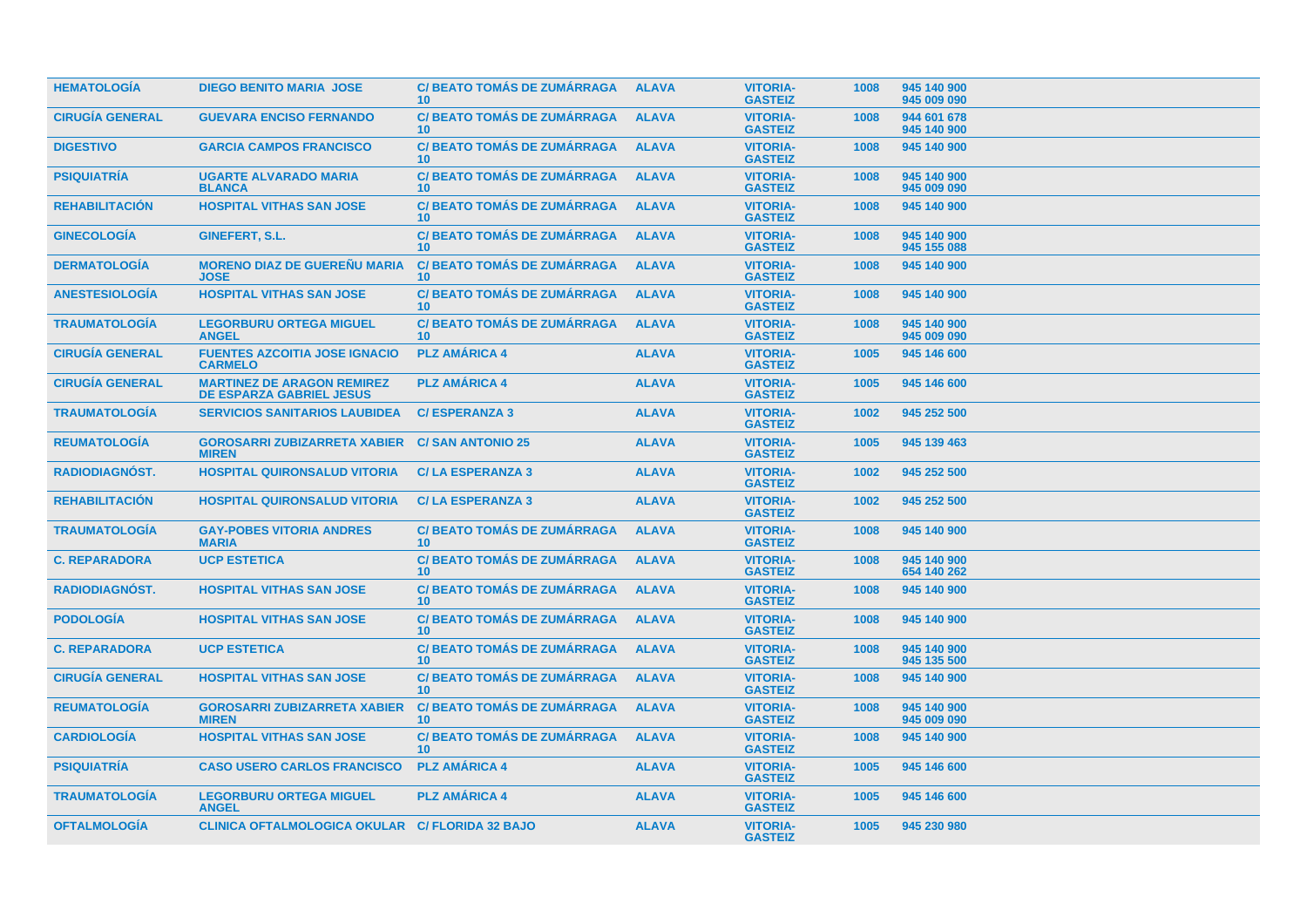| <b>HEMATOLOGÍA</b>     | <b>DIEGO BENITO MARIA JOSE</b>                                       | <b>C/BEATO TOMÁS DE ZUMÁRRAGA</b><br>10 <sup>1</sup>  | <b>ALAVA</b> | <b>VITORIA-</b><br><b>GASTEIZ</b> | 1008 | 945 140 900<br>945 009 090 |
|------------------------|----------------------------------------------------------------------|-------------------------------------------------------|--------------|-----------------------------------|------|----------------------------|
| <b>CIRUGÍA GENERAL</b> | <b>GUEVARA ENCISO FERNANDO</b>                                       | <b>C/BEATO TOMÁS DE ZUMÁRRAGA</b><br>10 <sup>°</sup>  | <b>ALAVA</b> | <b>VITORIA-</b><br><b>GASTEIZ</b> | 1008 | 944 601 678<br>945 140 900 |
| <b>DIGESTIVO</b>       | <b>GARCIA CAMPOS FRANCISCO</b>                                       | <b>C/BEATO TOMÁS DE ZUMÁRRAGA</b><br>10 <sup>°</sup>  | <b>ALAVA</b> | <b>VITORIA-</b><br><b>GASTEIZ</b> | 1008 | 945 140 900                |
| <b>PSIQUIATRIA</b>     | <b>UGARTE ALVARADO MARIA</b><br><b>BLANCA</b>                        | <b>C/BEATO TOMÁS DE ZUMÁRRAGA</b><br>10               | <b>ALAVA</b> | <b>VITORIA-</b><br><b>GASTEIZ</b> | 1008 | 945 140 900<br>945 009 090 |
| <b>REHABILITACIÓN</b>  | <b>HOSPITAL VITHAS SAN JOSE</b>                                      | <b>C/BEATO TOMÁS DE ZUMÁRRAGA</b><br>10 <sup>1</sup>  | <b>ALAVA</b> | <b>VITORIA-</b><br><b>GASTEIZ</b> | 1008 | 945 140 900                |
| <b>GINECOLOGÍA</b>     | GINEFERT, S.L.                                                       | <b>C/BEATO TOMÁS DE ZUMÁRRAGA</b><br>10 <sup>°</sup>  | <b>ALAVA</b> | <b>VITORIA-</b><br><b>GASTEIZ</b> | 1008 | 945 140 900<br>945 155 088 |
| <b>DERMATOLOGÍA</b>    | <b>MORENO DIAZ DE GUEREÑU MARIA</b><br><b>JOSE</b>                   | <b>C/ BEATO TOMÁS DE ZUMÁRRAGA</b><br>10 <sup>1</sup> | <b>ALAVA</b> | <b>VITORIA-</b><br><b>GASTEIZ</b> | 1008 | 945 140 900                |
| <b>ANESTESIOLOGIA</b>  | <b>HOSPITAL VITHAS SAN JOSE</b>                                      | <b>C/ BEATO TOMÁS DE ZUMÁRRAGA</b><br>10 <sup>1</sup> | <b>ALAVA</b> | <b>VITORIA-</b><br><b>GASTEIZ</b> | 1008 | 945 140 900                |
| <b>TRAUMATOLOGÍA</b>   | <b>LEGORBURU ORTEGA MIGUEL</b><br><b>ANGEL</b>                       | <b>C/BEATO TOMÁS DE ZUMÁRRAGA</b><br>10 <sup>1</sup>  | <b>ALAVA</b> | <b>VITORIA-</b><br><b>GASTEIZ</b> | 1008 | 945 140 900<br>945 009 090 |
| <b>CIRUGÍA GENERAL</b> | <b>FUENTES AZCOITIA JOSE IGNACIO</b><br><b>CARMELO</b>               | <b>PLZ AMÁRICA 4</b>                                  | <b>ALAVA</b> | <b>VITORIA-</b><br><b>GASTEIZ</b> | 1005 | 945 146 600                |
| <b>CIRUGÍA GENERAL</b> | <b>MARTINEZ DE ARAGON REMIREZ</b><br><b>DE ESPARZA GABRIEL JESUS</b> | <b>PLZ AMÁRICA 4</b>                                  | <b>ALAVA</b> | <b>VITORIA-</b><br><b>GASTEIZ</b> | 1005 | 945 146 600                |
| <b>TRAUMATOLOGÍA</b>   | <b>SERVICIOS SANITARIOS LAUBIDEA</b>                                 | <b>C/ESPERANZA 3</b>                                  | <b>ALAVA</b> | <b>VITORIA-</b><br><b>GASTEIZ</b> | 1002 | 945 252 500                |
| <b>REUMATOLOGÍA</b>    | <b>GOROSARRI ZUBIZARRETA XABIER</b><br><b>MIREN</b>                  | <b>C/SAN ANTONIO 25</b>                               | <b>ALAVA</b> | <b>VITORIA-</b><br><b>GASTEIZ</b> | 1005 | 945 139 463                |
| <b>RADIODIAGNÓST.</b>  | <b>HOSPITAL QUIRONSALUD VITORIA</b>                                  | <b>C/LA ESPERANZA 3</b>                               | <b>ALAVA</b> | <b>VITORIA-</b><br><b>GASTEIZ</b> | 1002 | 945 252 500                |
| <b>REHABILITACIÓN</b>  | <b>HOSPITAL QUIRONSALUD VITORIA</b>                                  | <b>C/LA ESPERANZA 3</b>                               | <b>ALAVA</b> | <b>VITORIA-</b><br><b>GASTEIZ</b> | 1002 | 945 252 500                |
| <b>TRAUMATOLOGÍA</b>   | <b>GAY-POBES VITORIA ANDRES</b><br><b>MARIA</b>                      | <b>C/ BEATO TOMÁS DE ZUMÁRRAGA</b><br>10 <sup>1</sup> | <b>ALAVA</b> | <b>VITORIA-</b><br><b>GASTEIZ</b> | 1008 | 945 140 900                |
| <b>C. REPARADORA</b>   | <b>UCP ESTETICA</b>                                                  | <b>C/ BEATO TOMÁS DE ZUMÁRRAGA</b><br>10 <sup>1</sup> | <b>ALAVA</b> | <b>VITORIA-</b><br><b>GASTEIZ</b> | 1008 | 945 140 900<br>654 140 262 |
| RADIODIAGNÓST.         | <b>HOSPITAL VITHAS SAN JOSE</b>                                      | <b>C/BEATO TOMÁS DE ZUMÁRRAGA</b><br>10 <sup>°</sup>  | <b>ALAVA</b> | <b>VITORIA-</b><br><b>GASTEIZ</b> | 1008 | 945 140 900                |
| <b>PODOLOGIA</b>       | <b>HOSPITAL VITHAS SAN JOSE</b>                                      | <b>C/BEATO TOMÁS DE ZUMÁRRAGA</b><br>10 <sup>°</sup>  | <b>ALAVA</b> | <b>VITORIA-</b><br><b>GASTEIZ</b> | 1008 | 945 140 900                |
| <b>C. REPARADORA</b>   | <b>UCP ESTETICA</b>                                                  | <b>C/BEATO TOMÁS DE ZUMÁRRAGA</b><br>10 <sup>°</sup>  | <b>ALAVA</b> | <b>VITORIA-</b><br><b>GASTEIZ</b> | 1008 | 945 140 900<br>945 135 500 |
| <b>CIRUGÍA GENERAL</b> | <b>HOSPITAL VITHAS SAN JOSE</b>                                      | <b>C/BEATO TOMÁS DE ZUMÁRRAGA</b><br>10 <sup>°</sup>  | <b>ALAVA</b> | <b>VITORIA-</b><br><b>GASTEIZ</b> | 1008 | 945 140 900                |
| <b>REUMATOLOGÍA</b>    | <b>GOROSARRI ZUBIZARRETA XABIER</b><br><b>MIREN</b>                  | <b>C/ BEATO TOMÁS DE ZUMÁRRAGA</b><br>10 <sup>°</sup> | <b>ALAVA</b> | <b>VITORIA-</b><br><b>GASTEIZ</b> | 1008 | 945 140 900<br>945 009 090 |
| <b>CARDIOLOGÍA</b>     | <b>HOSPITAL VITHAS SAN JOSE</b>                                      | <b>C/BEATO TOMÁS DE ZUMÁRRAGA</b><br>10 <sup>1</sup>  | <b>ALAVA</b> | <b>VITORIA-</b><br><b>GASTEIZ</b> | 1008 | 945 140 900                |
| <b>PSIQUIATRÍA</b>     | <b>CASO USERO CARLOS FRANCISCO</b>                                   | <b>PLZ AMÁRICA 4</b>                                  | <b>ALAVA</b> | <b>VITORIA-</b><br><b>GASTEIZ</b> | 1005 | 945 146 600                |
| <b>TRAUMATOLOGÍA</b>   | <b>LEGORBURU ORTEGA MIGUEL</b><br><b>ANGEL</b>                       | <b>PLZ AMÁRICA 4</b>                                  | <b>ALAVA</b> | <b>VITORIA-</b><br><b>GASTEIZ</b> | 1005 | 945 146 600                |
| <b>OFTALMOLOGÍA</b>    | <b>CLINICA OFTALMOLOGICA OKULAR C/ FLORIDA 32 BAJO</b>               |                                                       | <b>ALAVA</b> | <b>VITORIA-</b><br><b>GASTEIZ</b> | 1005 | 945 230 980                |
|                        |                                                                      |                                                       |              |                                   |      |                            |